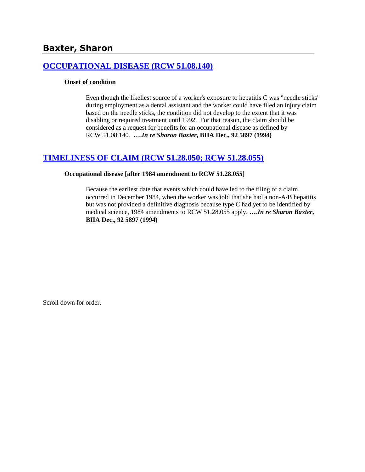# **[OCCUPATIONAL DISEASE \(RCW 51.08.140\)](http://www.biia.wa.gov/SDSubjectIndex.html#OCCUPATIONAL_DISEASE)**

### **Onset of condition**

Even though the likeliest source of a worker's exposure to hepatitis C was "needle sticks" during employment as a dental assistant and the worker could have filed an injury claim based on the needle sticks, the condition did not develop to the extent that it was disabling or required treatment until 1992. For that reason, the claim should be considered as a request for benefits for an occupational disease as defined by RCW 51.08.140. **….***In re Sharon Baxter***, BIIA Dec., 92 5897 (1994)** 

# **[TIMELINESS OF CLAIM \(RCW 51.28.050; RCW 51.28.055\)](http://www.biia.wa.gov/SDSubjectIndex.html#TIMELINESS_OF_CLAIM)**

### **Occupational disease [after 1984 amendment to RCW 51.28.055]**

Because the earliest date that events which could have led to the filing of a claim occurred in December 1984, when the worker was told that she had a non-A/B hepatitis but was not provided a definitive diagnosis because type C had yet to be identified by medical science, 1984 amendments to RCW 51.28.055 apply. **….***In re Sharon Baxter***, BIIA Dec., 92 5897 (1994)**

Scroll down for order.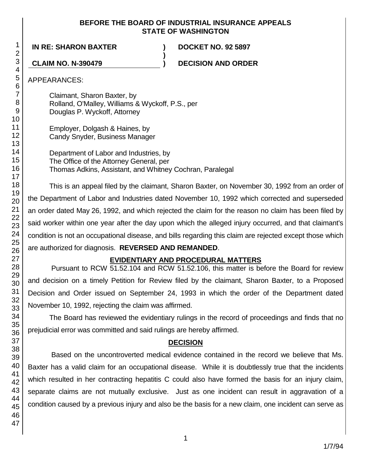### **BEFORE THE BOARD OF INDUSTRIAL INSURANCE APPEALS STATE OF WASHINGTON**

**)**

**IN RE: SHARON BAXTER ) DOCKET NO. 92 5897**

**CLAIM NO. N-390479 ) DECISION AND ORDER**

APPEARANCES:

Claimant, Sharon Baxter, by Rolland, O'Malley, Williams & Wyckoff, P.S., per Douglas P. Wyckoff, Attorney

Employer, Dolgash & Haines, by Candy Snyder, Business Manager

Department of Labor and Industries, by The Office of the Attorney General, per Thomas Adkins, Assistant, and Whitney Cochran, Paralegal

This is an appeal filed by the claimant, Sharon Baxter, on November 30, 1992 from an order of the Department of Labor and Industries dated November 10, 1992 which corrected and superseded an order dated May 26, 1992, and which rejected the claim for the reason no claim has been filed by said worker within one year after the day upon which the alleged injury occurred, and that claimant's condition is not an occupational disease, and bills regarding this claim are rejected except those which are authorized for diagnosis. **REVERSED AND REMANDED**.

# **EVIDENTIARY AND PROCEDURAL MATTERS**

Pursuant to RCW 51.52.104 and RCW 51.52.106, this matter is before the Board for review and decision on a timely Petition for Review filed by the claimant, Sharon Baxter, to a Proposed Decision and Order issued on September 24, 1993 in which the order of the Department dated November 10, 1992, rejecting the claim was affirmed.

The Board has reviewed the evidentiary rulings in the record of proceedings and finds that no prejudicial error was committed and said rulings are hereby affirmed.

# **DECISION**

Based on the uncontroverted medical evidence contained in the record we believe that Ms. Baxter has a valid claim for an occupational disease. While it is doubtlessly true that the incidents which resulted in her contracting hepatitis C could also have formed the basis for an injury claim, separate claims are not mutually exclusive. Just as one incident can result in aggravation of a condition caused by a previous injury and also be the basis for a new claim, one incident can serve as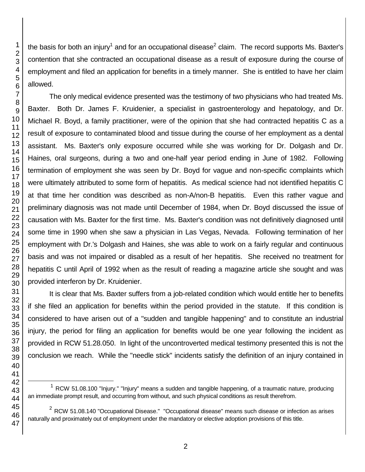l

the basis for both an injury<sup>1</sup> and for an occupational disease<sup>2</sup> claim. The record supports Ms. Baxter's contention that she contracted an occupational disease as a result of exposure during the course of employment and filed an application for benefits in a timely manner. She is entitled to have her claim allowed.

The only medical evidence presented was the testimony of two physicians who had treated Ms. Baxter. Both Dr. James F. Kruidenier, a specialist in gastroenterology and hepatology, and Dr. Michael R. Boyd, a family practitioner, were of the opinion that she had contracted hepatitis C as a result of exposure to contaminated blood and tissue during the course of her employment as a dental assistant. Ms. Baxter's only exposure occurred while she was working for Dr. Dolgash and Dr. Haines, oral surgeons, during a two and one-half year period ending in June of 1982. Following termination of employment she was seen by Dr. Boyd for vague and non-specific complaints which were ultimately attributed to some form of hepatitis. As medical science had not identified hepatitis C at that time her condition was described as non-A/non-B hepatitis. Even this rather vague and preliminary diagnosis was not made until December of 1984, when Dr. Boyd discussed the issue of causation with Ms. Baxter for the first time. Ms. Baxter's condition was not definitively diagnosed until some time in 1990 when she saw a physician in Las Vegas, Nevada. Following termination of her employment with Dr.'s Dolgash and Haines, she was able to work on a fairly regular and continuous basis and was not impaired or disabled as a result of her hepatitis. She received no treatment for hepatitis C until April of 1992 when as the result of reading a magazine article she sought and was provided interferon by Dr. Kruidenier.

It is clear that Ms. Baxter suffers from a job-related condition which would entitle her to benefits if she filed an application for benefits within the period provided in the statute. If this condition is considered to have arisen out of a "sudden and tangible happening" and to constitute an industrial injury, the period for filing an application for benefits would be one year following the incident as provided in RCW 51.28.050. In light of the uncontroverted medical testimony presented this is not the conclusion we reach. While the "needle stick" incidents satisfy the definition of an injury contained in

- $<sup>1</sup>$  RCW 51.08.100 "Injury." "Injury" means a sudden and tangible happening, of a traumatic nature, producing</sup> an immediate prompt result, and occurring from without, and such physical conditions as result therefrom.
- RCW 51.08.140 "Occupational Disease." "Occupational disease" means such disease or infection as arises naturally and proximately out of employment under the mandatory or elective adoption provisions of this title.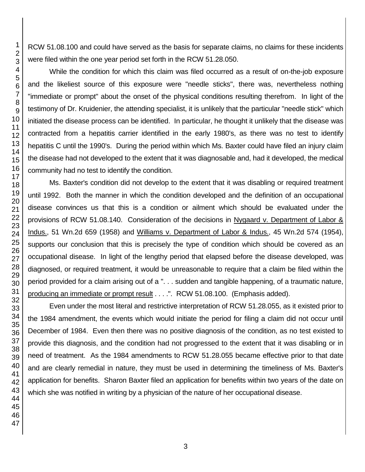RCW 51.08.100 and could have served as the basis for separate claims, no claims for these incidents were filed within the one year period set forth in the RCW 51.28.050.

While the condition for which this claim was filed occurred as a result of on-the-job exposure and the likeliest source of this exposure were "needle sticks", there was, nevertheless nothing "immediate or prompt" about the onset of the physical conditions resulting therefrom. In light of the testimony of Dr. Kruidenier, the attending specialist, it is unlikely that the particular "needle stick" which initiated the disease process can be identified. In particular, he thought it unlikely that the disease was contracted from a hepatitis carrier identified in the early 1980's, as there was no test to identify hepatitis C until the 1990's. During the period within which Ms. Baxter could have filed an injury claim the disease had not developed to the extent that it was diagnosable and, had it developed, the medical community had no test to identify the condition.

Ms. Baxter's condition did not develop to the extent that it was disabling or required treatment until 1992. Both the manner in which the condition developed and the definition of an occupational disease convinces us that this is a condition or ailment which should be evaluated under the provisions of RCW 51.08.140. Consideration of the decisions in Nygaard v. Department of Labor & Indus., 51 Wn.2d 659 (1958) and Williams v. Department of Labor & Indus., 45 Wn.2d 574 (1954), supports our conclusion that this is precisely the type of condition which should be covered as an occupational disease. In light of the lengthy period that elapsed before the disease developed, was diagnosed, or required treatment, it would be unreasonable to require that a claim be filed within the period provided for a claim arising out of a ". . . sudden and tangible happening, of a traumatic nature, producing an immediate or prompt result . . . .". RCW 51.08.100. (Emphasis added).

Even under the most literal and restrictive interpretation of RCW 51.28.055, as it existed prior to the 1984 amendment, the events which would initiate the period for filing a claim did not occur until December of 1984. Even then there was no positive diagnosis of the condition, as no test existed to provide this diagnosis, and the condition had not progressed to the extent that it was disabling or in need of treatment. As the 1984 amendments to RCW 51.28.055 became effective prior to that date and are clearly remedial in nature, they must be used in determining the timeliness of Ms. Baxter's application for benefits. Sharon Baxter filed an application for benefits within two years of the date on which she was notified in writing by a physician of the nature of her occupational disease.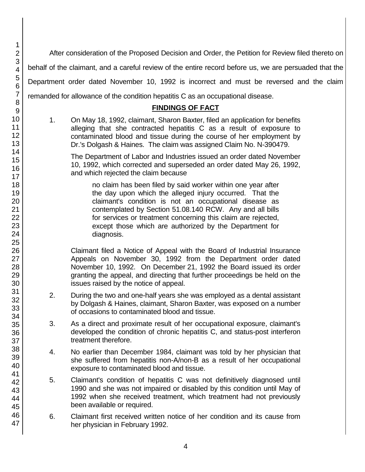After consideration of the Proposed Decision and Order, the Petition for Review filed thereto on behalf of the claimant, and a careful review of the entire record before us, we are persuaded that the Department order dated November 10, 1992 is incorrect and must be reversed and the claim remanded for allowance of the condition hepatitis C as an occupational disease.

# **FINDINGS OF FACT**

1. On May 18, 1992, claimant, Sharon Baxter, filed an application for benefits alleging that she contracted hepatitis C as a result of exposure to contaminated blood and tissue during the course of her employment by Dr.'s Dolgash & Haines. The claim was assigned Claim No. N-390479.

The Department of Labor and Industries issued an order dated November 10, 1992, which corrected and superseded an order dated May 26, 1992, and which rejected the claim because

no claim has been filed by said worker within one year after the day upon which the alleged injury occurred. That the claimant's condition is not an occupational disease as contemplated by Section 51.08.140 RCW. Any and all bills for services or treatment concerning this claim are rejected, except those which are authorized by the Department for diagnosis.

Claimant filed a Notice of Appeal with the Board of Industrial Insurance Appeals on November 30, 1992 from the Department order dated November 10, 1992. On December 21, 1992 the Board issued its order granting the appeal, and directing that further proceedings be held on the issues raised by the notice of appeal.

- 2. During the two and one-half years she was employed as a dental assistant by Dolgash & Haines, claimant, Sharon Baxter, was exposed on a number of occasions to contaminated blood and tissue.
- 3. As a direct and proximate result of her occupational exposure, claimant's developed the condition of chronic hepatitis C, and status-post interferon treatment therefore.
- 4. No earlier than December 1984, claimant was told by her physician that she suffered from hepatitis non-A/non-B as a result of her occupational exposure to contaminated blood and tissue.
- 5. Claimant's condition of hepatitis C was not definitively diagnosed until 1990 and she was not impaired or disabled by this condition until May of 1992 when she received treatment, which treatment had not previously been available or required.
- 6. Claimant first received written notice of her condition and its cause from her physician in February 1992.